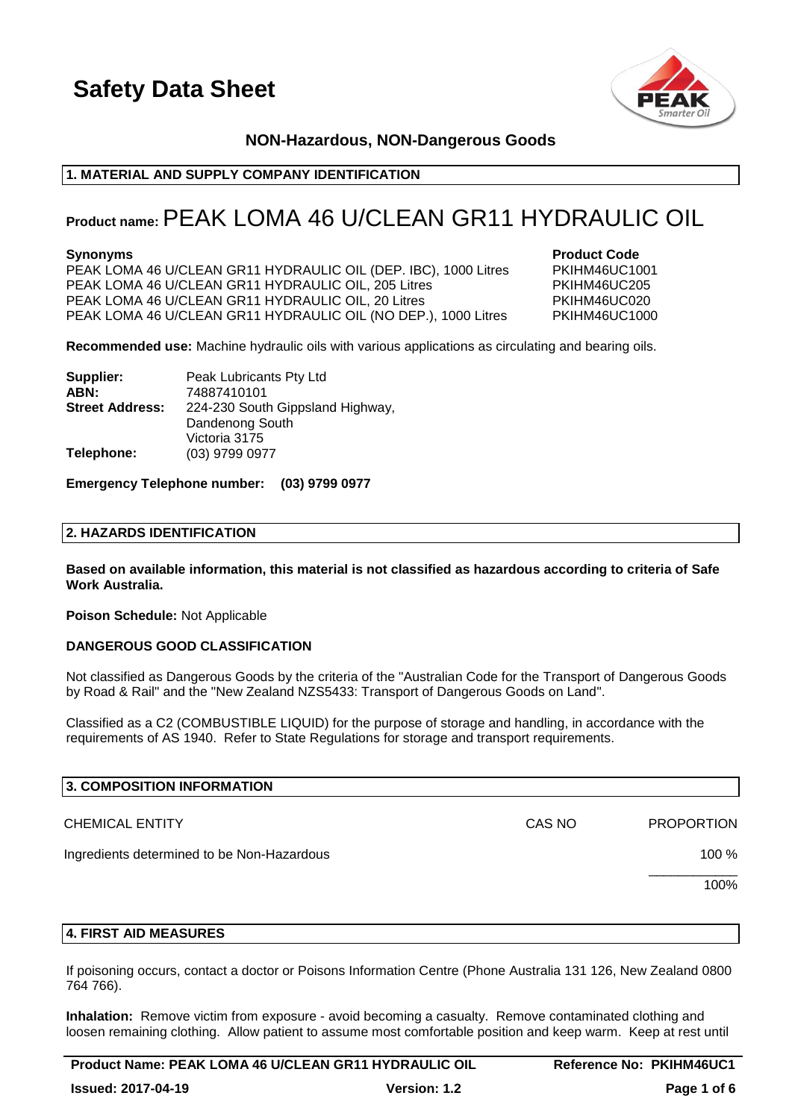

### **NON-Hazardous, NON-Dangerous Goods**

### **1. MATERIAL AND SUPPLY COMPANY IDENTIFICATION**

### **Product name:**PEAK LOMA 46 U/CLEAN GR11 HYDRAULIC OIL

PEAK LOMA 46 U/CLEAN GR11 HYDRAULIC OIL (DEP. IBC), 1000 Litres PKIHM46UC1001 PEAK LOMA 46 U/CLEAN GR11 HYDRAULIC OIL, 205 Litres PKIHM46UC205 PEAK LOMA 46 U/CLEAN GR11 HYDRAULIC OIL, 20 Litres PKIHM46UC020 PEAK LOMA 46 U/CLEAN GR11 HYDRAULIC OIL (NO DEP.), 1000 Litres PKIHM46UC1000

**Synonyms Product Code** 

**Recommended use:** Machine hydraulic oils with various applications as circulating and bearing oils.

| Supplier:              | Peak Lubricants Pty Ltd          |
|------------------------|----------------------------------|
| ABN:                   | 74887410101                      |
| <b>Street Address:</b> | 224-230 South Gippsland Highway, |
|                        | Dandenong South                  |
|                        | Victoria 3175                    |
| Telephone:             | (03) 9799 0977                   |

### **Emergency Telephone number: (03) 9799 0977**

### **2. HAZARDS IDENTIFICATION**

**Based on available information, this material is not classified as hazardous according to criteria of Safe Work Australia.**

**Poison Schedule:** Not Applicable

### **DANGEROUS GOOD CLASSIFICATION**

Not classified as Dangerous Goods by the criteria of the "Australian Code for the Transport of Dangerous Goods by Road & Rail" and the "New Zealand NZS5433: Transport of Dangerous Goods on Land".

Classified as a C2 (COMBUSTIBLE LIQUID) for the purpose of storage and handling, in accordance with the requirements of AS 1940. Refer to State Regulations for storage and transport requirements.

| 3. COMPOSITION INFORMATION                 |        |                   |
|--------------------------------------------|--------|-------------------|
| <b>CHEMICAL ENTITY</b>                     | CAS NO | <b>PROPORTION</b> |
| Ingredients determined to be Non-Hazardous |        | 100 %             |
|                                            |        | 100%              |
|                                            |        |                   |

### **4. FIRST AID MEASURES**

If poisoning occurs, contact a doctor or Poisons Information Centre (Phone Australia 131 126, New Zealand 0800 764 766).

**Inhalation:** Remove victim from exposure - avoid becoming a casualty. Remove contaminated clothing and loosen remaining clothing. Allow patient to assume most comfortable position and keep warm. Keep at rest until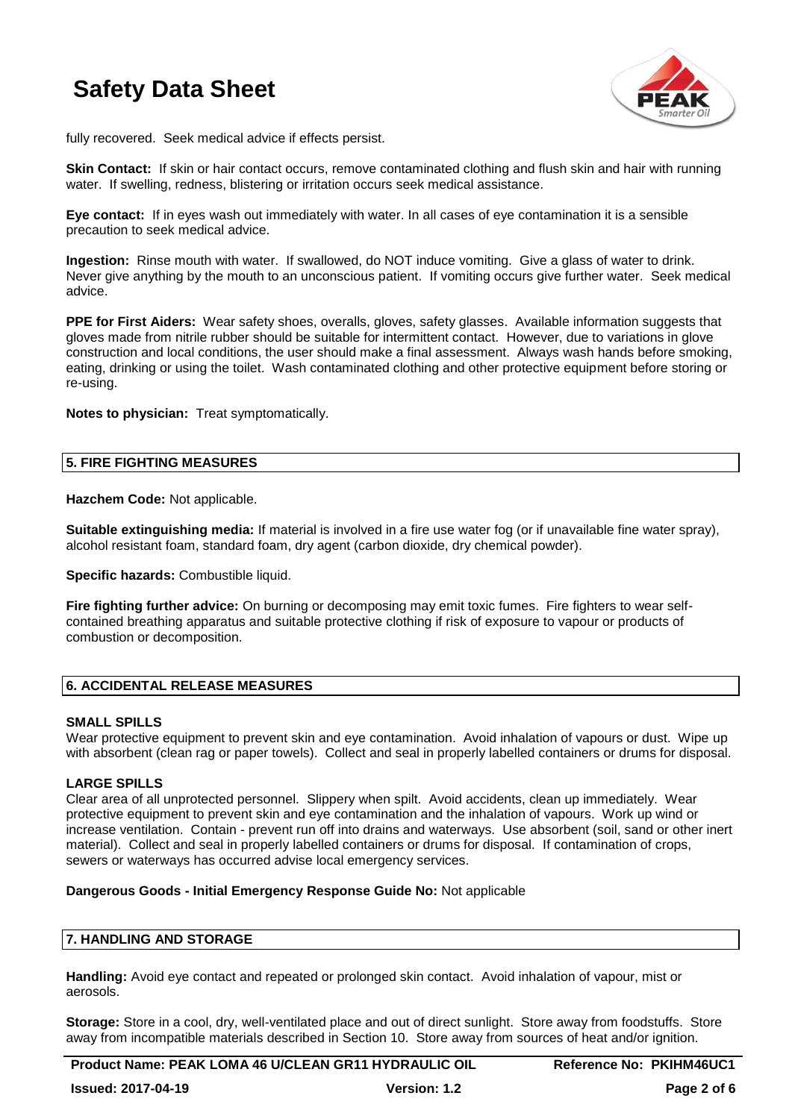

fully recovered. Seek medical advice if effects persist.

**Skin Contact:** If skin or hair contact occurs, remove contaminated clothing and flush skin and hair with running water. If swelling, redness, blistering or irritation occurs seek medical assistance.

**Eye contact:** If in eyes wash out immediately with water. In all cases of eye contamination it is a sensible precaution to seek medical advice.

**Ingestion:** Rinse mouth with water. If swallowed, do NOT induce vomiting. Give a glass of water to drink. Never give anything by the mouth to an unconscious patient. If vomiting occurs give further water. Seek medical advice.

**PPE for First Aiders:** Wear safety shoes, overalls, gloves, safety glasses. Available information suggests that gloves made from nitrile rubber should be suitable for intermittent contact. However, due to variations in glove construction and local conditions, the user should make a final assessment. Always wash hands before smoking, eating, drinking or using the toilet. Wash contaminated clothing and other protective equipment before storing or re-using.

**Notes to physician:** Treat symptomatically.

### **5. FIRE FIGHTING MEASURES**

**Hazchem Code:** Not applicable.

**Suitable extinguishing media:** If material is involved in a fire use water fog (or if unavailable fine water spray), alcohol resistant foam, standard foam, dry agent (carbon dioxide, dry chemical powder).

**Specific hazards:** Combustible liquid.

**Fire fighting further advice:** On burning or decomposing may emit toxic fumes. Fire fighters to wear selfcontained breathing apparatus and suitable protective clothing if risk of exposure to vapour or products of combustion or decomposition.

### **6. ACCIDENTAL RELEASE MEASURES**

### **SMALL SPILLS**

Wear protective equipment to prevent skin and eye contamination. Avoid inhalation of vapours or dust. Wipe up with absorbent (clean rag or paper towels). Collect and seal in properly labelled containers or drums for disposal.

### **LARGE SPILLS**

Clear area of all unprotected personnel. Slippery when spilt. Avoid accidents, clean up immediately. Wear protective equipment to prevent skin and eye contamination and the inhalation of vapours. Work up wind or increase ventilation. Contain - prevent run off into drains and waterways. Use absorbent (soil, sand or other inert material). Collect and seal in properly labelled containers or drums for disposal. If contamination of crops, sewers or waterways has occurred advise local emergency services.

### **Dangerous Goods - Initial Emergency Response Guide No:** Not applicable

### **7. HANDLING AND STORAGE**

**Handling:** Avoid eye contact and repeated or prolonged skin contact. Avoid inhalation of vapour, mist or aerosols.

**Storage:** Store in a cool, dry, well-ventilated place and out of direct sunlight. Store away from foodstuffs. Store away from incompatible materials described in Section 10. Store away from sources of heat and/or ignition.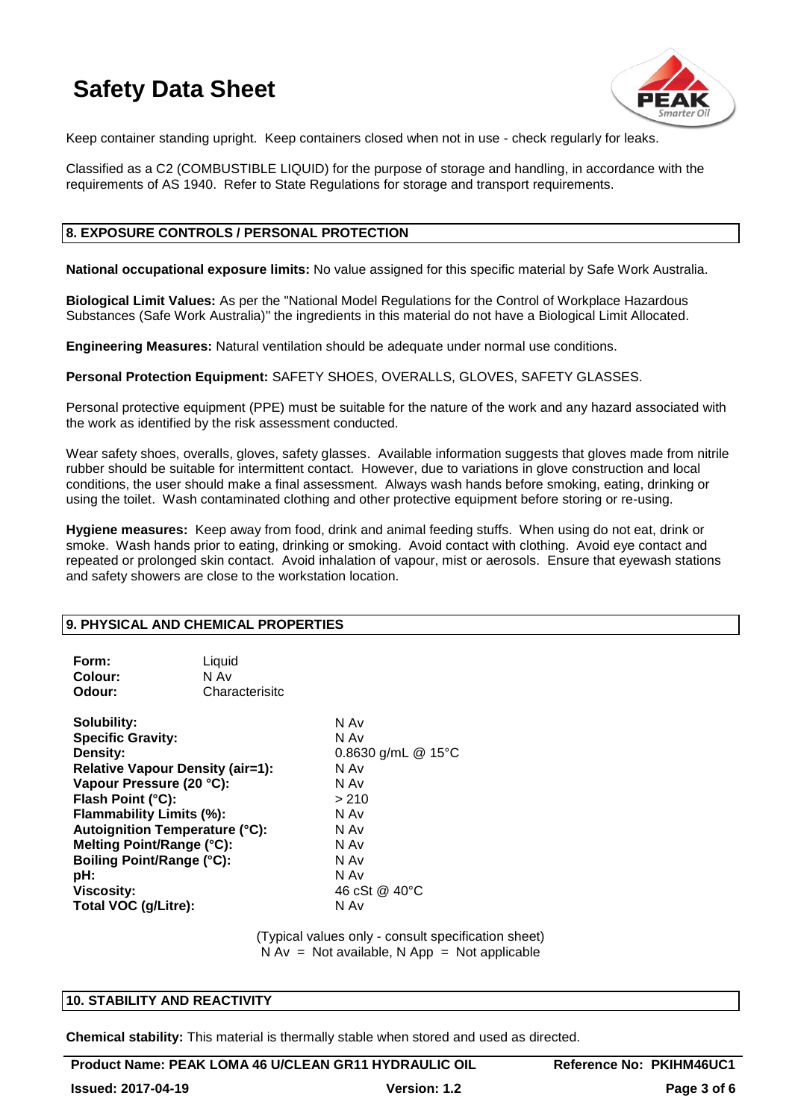

Keep container standing upright. Keep containers closed when not in use - check regularly for leaks.

Classified as a C2 (COMBUSTIBLE LIQUID) for the purpose of storage and handling, in accordance with the requirements of AS 1940. Refer to State Regulations for storage and transport requirements.

### **8. EXPOSURE CONTROLS / PERSONAL PROTECTION**

**National occupational exposure limits:** No value assigned for this specific material by Safe Work Australia.

**Biological Limit Values:** As per the "National Model Regulations for the Control of Workplace Hazardous Substances (Safe Work Australia)" the ingredients in this material do not have a Biological Limit Allocated.

**Engineering Measures:** Natural ventilation should be adequate under normal use conditions.

**Personal Protection Equipment:** SAFETY SHOES, OVERALLS, GLOVES, SAFETY GLASSES.

Personal protective equipment (PPE) must be suitable for the nature of the work and any hazard associated with the work as identified by the risk assessment conducted.

Wear safety shoes, overalls, gloves, safety glasses. Available information suggests that gloves made from nitrile rubber should be suitable for intermittent contact. However, due to variations in glove construction and local conditions, the user should make a final assessment. Always wash hands before smoking, eating, drinking or using the toilet. Wash contaminated clothing and other protective equipment before storing or re-using.

**Hygiene measures:** Keep away from food, drink and animal feeding stuffs. When using do not eat, drink or smoke. Wash hands prior to eating, drinking or smoking. Avoid contact with clothing. Avoid eye contact and repeated or prolonged skin contact. Avoid inhalation of vapour, mist or aerosols. Ensure that eyewash stations and safety showers are close to the workstation location.

### **9. PHYSICAL AND CHEMICAL PROPERTIES**

| Liquid<br>N Av<br>Characterisitc                                                                                                                                                                                                                                                   |                                                                                                                                |
|------------------------------------------------------------------------------------------------------------------------------------------------------------------------------------------------------------------------------------------------------------------------------------|--------------------------------------------------------------------------------------------------------------------------------|
| <b>Specific Gravity:</b><br><b>Relative Vapour Density (air=1):</b><br>Vapour Pressure (20 °C):<br>Flash Point (°C):<br>Flammability Limits (%):<br><b>Autoignition Temperature (°C):</b><br>Melting Point/Range (°C):<br><b>Boiling Point/Range (°C):</b><br>Total VOC (g/Litre): | N Av<br>N Av<br>0.8630 g/mL $@$ 15°C<br>N Av<br>N Av<br>> 210<br>N Av<br>N Av<br>N Av<br>N Av<br>N Av<br>46 cSt @ 40°C<br>N Av |
|                                                                                                                                                                                                                                                                                    |                                                                                                                                |

(Typical values only - consult specification sheet)  $N Av = Not available, N App = Not applicable$ 

### **10. STABILITY AND REACTIVITY**

**Chemical stability:** This material is thermally stable when stored and used as directed.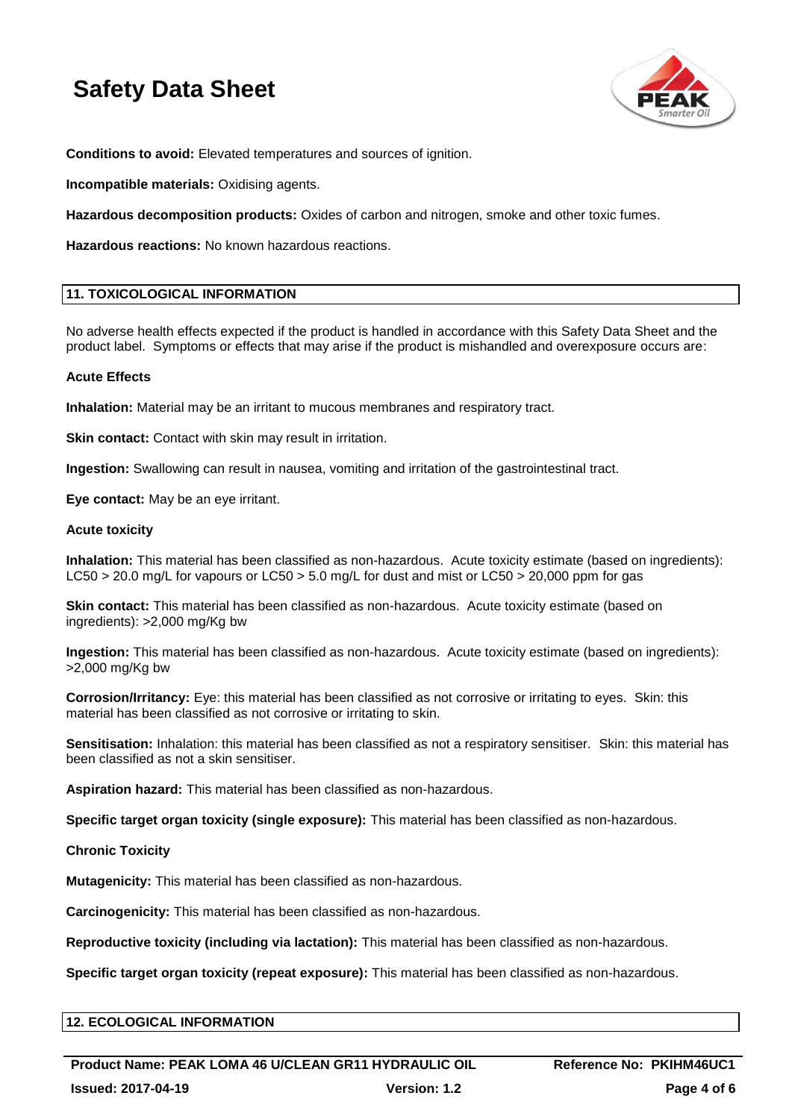

**Conditions to avoid:** Elevated temperatures and sources of ignition.

**Incompatible materials:** Oxidising agents.

**Hazardous decomposition products:** Oxides of carbon and nitrogen, smoke and other toxic fumes.

**Hazardous reactions:** No known hazardous reactions.

### **11. TOXICOLOGICAL INFORMATION**

No adverse health effects expected if the product is handled in accordance with this Safety Data Sheet and the product label. Symptoms or effects that may arise if the product is mishandled and overexposure occurs are:

### **Acute Effects**

**Inhalation:** Material may be an irritant to mucous membranes and respiratory tract.

**Skin contact:** Contact with skin may result in irritation.

**Ingestion:** Swallowing can result in nausea, vomiting and irritation of the gastrointestinal tract.

**Eye contact:** May be an eye irritant.

### **Acute toxicity**

**Inhalation:** This material has been classified as non-hazardous. Acute toxicity estimate (based on ingredients): LC50 > 20.0 mg/L for vapours or LC50 > 5.0 mg/L for dust and mist or LC50 > 20,000 ppm for gas

**Skin contact:** This material has been classified as non-hazardous. Acute toxicity estimate (based on ingredients): >2,000 mg/Kg bw

**Ingestion:** This material has been classified as non-hazardous. Acute toxicity estimate (based on ingredients): >2,000 mg/Kg bw

**Corrosion/Irritancy:** Eye: this material has been classified as not corrosive or irritating to eyes. Skin: this material has been classified as not corrosive or irritating to skin.

**Sensitisation:** Inhalation: this material has been classified as not a respiratory sensitiser. Skin: this material has been classified as not a skin sensitiser.

**Aspiration hazard:** This material has been classified as non-hazardous.

**Specific target organ toxicity (single exposure):** This material has been classified as non-hazardous.

### **Chronic Toxicity**

**Mutagenicity:** This material has been classified as non-hazardous.

**Carcinogenicity:** This material has been classified as non-hazardous.

**Reproductive toxicity (including via lactation):** This material has been classified as non-hazardous.

**Specific target organ toxicity (repeat exposure):** This material has been classified as non-hazardous.

### **12. ECOLOGICAL INFORMATION**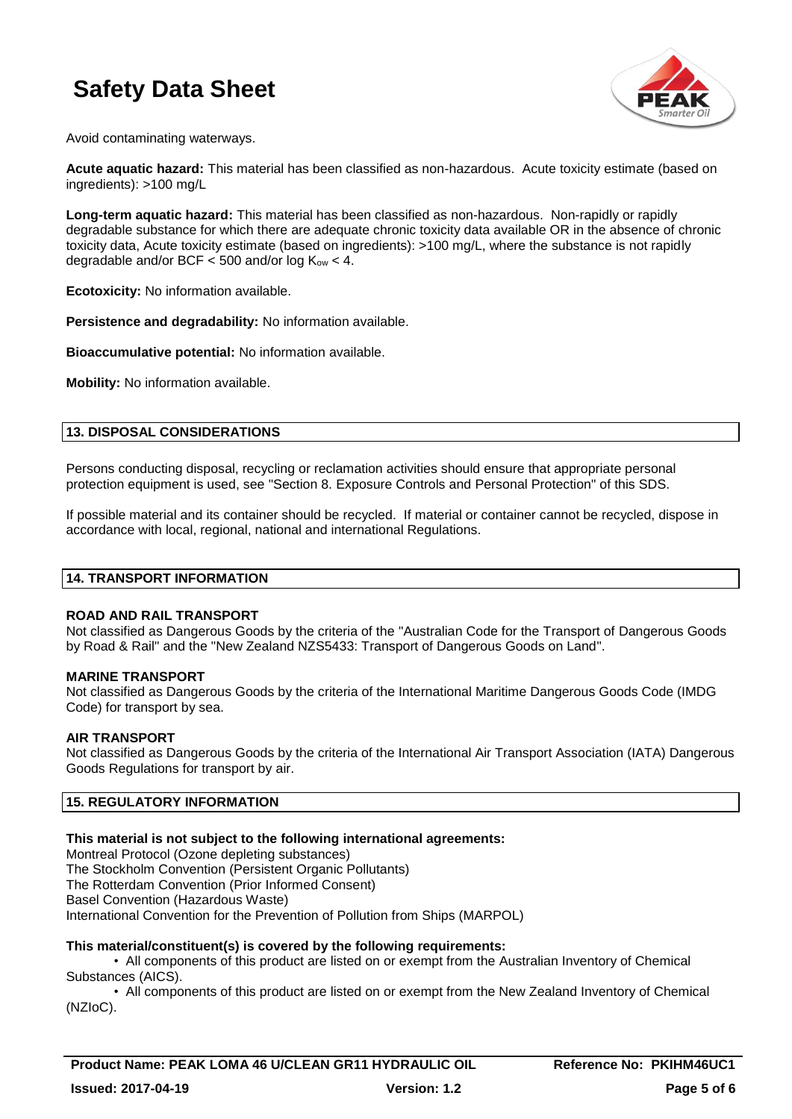

Avoid contaminating waterways.

**Acute aquatic hazard:** This material has been classified as non-hazardous. Acute toxicity estimate (based on ingredients): >100 mg/L

**Long-term aquatic hazard:** This material has been classified as non-hazardous. Non-rapidly or rapidly degradable substance for which there are adequate chronic toxicity data available OR in the absence of chronic toxicity data, Acute toxicity estimate (based on ingredients): >100 mg/L, where the substance is not rapidly degradable and/or BCF  $<$  500 and/or log  $K_{ow}$   $<$  4.

**Ecotoxicity:** No information available.

**Persistence and degradability:** No information available.

**Bioaccumulative potential:** No information available.

**Mobility:** No information available.

### **13. DISPOSAL CONSIDERATIONS**

Persons conducting disposal, recycling or reclamation activities should ensure that appropriate personal protection equipment is used, see "Section 8. Exposure Controls and Personal Protection" of this SDS.

If possible material and its container should be recycled. If material or container cannot be recycled, dispose in accordance with local, regional, national and international Regulations.

### **14. TRANSPORT INFORMATION**

### **ROAD AND RAIL TRANSPORT**

Not classified as Dangerous Goods by the criteria of the "Australian Code for the Transport of Dangerous Goods by Road & Rail" and the "New Zealand NZS5433: Transport of Dangerous Goods on Land".

### **MARINE TRANSPORT**

Not classified as Dangerous Goods by the criteria of the International Maritime Dangerous Goods Code (IMDG Code) for transport by sea.

### **AIR TRANSPORT**

Not classified as Dangerous Goods by the criteria of the International Air Transport Association (IATA) Dangerous Goods Regulations for transport by air.

### **15. REGULATORY INFORMATION**

### **This material is not subject to the following international agreements:**

Montreal Protocol (Ozone depleting substances) The Stockholm Convention (Persistent Organic Pollutants) The Rotterdam Convention (Prior Informed Consent) Basel Convention (Hazardous Waste) International Convention for the Prevention of Pollution from Ships (MARPOL)

### **This material/constituent(s) is covered by the following requirements:**

• All components of this product are listed on or exempt from the Australian Inventory of Chemical Substances (AICS).

• All components of this product are listed on or exempt from the New Zealand Inventory of Chemical (NZIoC).